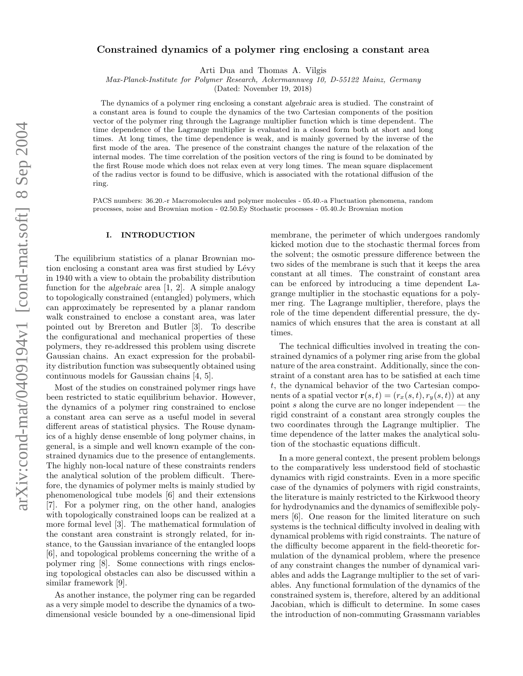# Constrained dynamics of a polymer ring enclosing a constant area

Arti Dua and Thomas A. Vilgis

Max-Planck-Institute for Polymer Research, Ackermannweg 10, D-55122 Mainz, Germany

(Dated: November 19, 2018)

The dynamics of a polymer ring enclosing a constant algebraic area is studied. The constraint of a constant area is found to couple the dynamics of the two Cartesian components of the position vector of the polymer ring through the Lagrange multiplier function which is time dependent. The time dependence of the Lagrange multiplier is evaluated in a closed form both at short and long times. At long times, the time dependence is weak, and is mainly governed by the inverse of the first mode of the area. The presence of the constraint changes the nature of the relaxation of the internal modes. The time correlation of the position vectors of the ring is found to be dominated by the first Rouse mode which does not relax even at very long times. The mean square displacement of the radius vector is found to be diffusive, which is associated with the rotational diffusion of the ring.

PACS numbers: 36.20.-r Macromolecules and polymer molecules - 05.40.-a Fluctuation phenomena, random processes, noise and Brownian motion - 02.50.Ey Stochastic processes - 05.40.Jc Brownian motion

# I. INTRODUCTION

The equilibrium statistics of a planar Brownian motion enclosing a constant area was first studied by Lévy in 1940 with a view to obtain the probability distribution function for the algebraic area [1, 2]. A simple analogy to topologically constrained (entangled) polymers, which can approximately be represented by a planar random walk constrained to enclose a constant area, was later pointed out by Brereton and Butler [3]. To describe the configurational and mechanical properties of these polymers, they re-addressed this problem using discrete Gaussian chains. An exact expression for the probability distribution function was subsequently obtained using continuous models for Gaussian chains [4, 5].

Most of the studies on constrained polymer rings have been restricted to static equilibrium behavior. However, the dynamics of a polymer ring constrained to enclose a constant area can serve as a useful model in several different areas of statistical physics. The Rouse dynamics of a highly dense ensemble of long polymer chains, in general, is a simple and well known example of the constrained dynamics due to the presence of entanglements. The highly non-local nature of these constraints renders the analytical solution of the problem difficult. Therefore, the dynamics of polymer melts is mainly studied by phenomenological tube models [6] and their extensions [7]. For a polymer ring, on the other hand, analogies with topologically constrained loops can be realized at a more formal level [3]. The mathematical formulation of the constant area constraint is strongly related, for instance, to the Gaussian invariance of the entangled loops [6], and topological problems concerning the writhe of a polymer ring [8]. Some connections with rings enclosing topological obstacles can also be discussed within a similar framework [9].

As another instance, the polymer ring can be regarded as a very simple model to describe the dynamics of a twodimensional vesicle bounded by a one-dimensional lipid membrane, the perimeter of which undergoes randomly kicked motion due to the stochastic thermal forces from the solvent; the osmotic pressure difference between the two sides of the membrane is such that it keeps the area constant at all times. The constraint of constant area can be enforced by introducing a time dependent Lagrange multiplier in the stochastic equations for a polymer ring. The Lagrange multiplier, therefore, plays the role of the time dependent differential pressure, the dynamics of which ensures that the area is constant at all times.

The technical difficulties involved in treating the constrained dynamics of a polymer ring arise from the global nature of the area constraint. Additionally, since the constraint of a constant area has to be satisfied at each time t, the dynamical behavior of the two Cartesian components of a spatial vector  $\mathbf{r}(s,t) = (r_x(s,t), r_y(s,t))$  at any point s along the curve are no longer independent  $-$  the rigid constraint of a constant area strongly couples the two coordinates through the Lagrange multiplier. The time dependence of the latter makes the analytical solution of the stochastic equations difficult.

In a more general context, the present problem belongs to the comparatively less understood field of stochastic dynamics with rigid constraints. Even in a more specific case of the dynamics of polymers with rigid constraints, the literature is mainly restricted to the Kirkwood theory for hydrodynamics and the dynamics of semiflexible polymers [6]. One reason for the limited literature on such systems is the technical difficulty involved in dealing with dynamical problems with rigid constraints. The nature of the difficulty become apparent in the field-theoretic formulation of the dynamical problem, where the presence of any constraint changes the number of dynamical variables and adds the Lagrange multiplier to the set of variables. Any functional formulation of the dynamics of the constrained system is, therefore, altered by an additional Jacobian, which is difficult to determine. In some cases the introduction of non-commuting Grassmann variables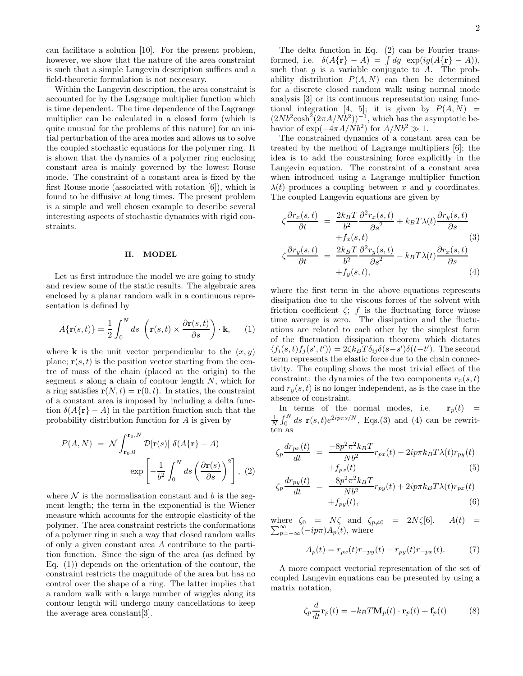can facilitate a solution [10]. For the present problem, however, we show that the nature of the area constraint is such that a simple Langevin description suffices and a field-theoretic formulation is not neccesary.

Within the Langevin description, the area constraint is accounted for by the Lagrange multiplier function which is time dependent. The time dependence of the Lagrange multiplier can be calculated in a closed form (which is quite unusual for the problems of this nature) for an initial perturbation of the area modes and allows us to solve the coupled stochastic equations for the polymer ring. It is shown that the dynamics of a polymer ring enclosing constant area is mainly governed by the lowest Rouse mode. The constraint of a constant area is fixed by the first Rouse mode (associated with rotation [6]), which is found to be diffusive at long times. The present problem is a simple and well chosen example to describe several interesting aspects of stochastic dynamics with rigid constraints.

# II. MODEL

Let us first introduce the model we are going to study and review some of the static results. The algebraic area enclosed by a planar random walk in a continuous representation is defined by

$$
A\{\mathbf{r}(s,t)\} = \frac{1}{2} \int_0^N ds \left( \mathbf{r}(s,t) \times \frac{\partial \mathbf{r}(s,t)}{\partial s} \right) \cdot \mathbf{k}, \quad (1)
$$

where **k** is the unit vector perpendicular to the  $(x, y)$ plane;  $\mathbf{r}(s,t)$  is the position vector starting from the centre of mass of the chain (placed at the origin) to the segment s along a chain of contour length  $N$ , which for a ring satisfies  $\mathbf{r}(N, t) = \mathbf{r}(0, t)$ . In statics, the constraint of a constant area is imposed by including a delta function  $\delta(A\{r\} - A)$  in the partition function such that the probability distribution function for A is given by

$$
P(A, N) = \mathcal{N} \int_{\mathbf{r}_0, 0}^{\mathbf{r}_0, N} \mathcal{D}[\mathbf{r}(s)] \delta(A\{\mathbf{r}\} - A)
$$

$$
\exp\left[-\frac{1}{b^2} \int_0^N ds \left(\frac{\partial \mathbf{r}(s)}{\partial s}\right)^2\right], (2)
$$

where  $\mathcal N$  is the normalisation constant and b is the segment length; the term in the exponential is the Wiener measure which accounts for the entropic elasticity of the polymer. The area constraint restricts the conformations of a polymer ring in such a way that closed random walks of only a given constant area A contribute to the partition function. Since the sign of the area (as defined by Eq.  $(1)$  depends on the orientation of the contour, the constraint restricts the magnitude of the area but has no control over the shape of a ring. The latter implies that a random walk with a large number of wiggles along its contour length will undergo many cancellations to keep the average area constant[3].

The delta function in Eq. (2) can be Fourier transformed, i.e.  $\delta(A\{\mathbf{r}\} - A) = \int dg \exp(i g (A\{\mathbf{r}\} - A)),$ such that  $g$  is a variable conjugate to  $A$ . The probability distribution  $P(A, N)$  can then be determined for a discrete closed random walk using normal mode analysis [3] or its continuous representation using functional integration [4, 5]; it is given by  $P(A, N)$  =  $(2Nb^2 \cosh^2(2\pi A/Nb^2))^{-1}$ , which has the asymptotic behavior of  $\exp(-4\pi A/Nb^2)$  for  $A/Nb^2 \gg 1$ .

The constrained dynamics of a constant area can be treated by the method of Lagrange multipliers [6]; the idea is to add the constraining force explicitly in the Langevin equation. The constraint of a constant area when introduced using a Lagrange multiplier function  $\lambda(t)$  produces a coupling between x and y coordinates. The coupled Langevin equations are given by

$$
\zeta \frac{\partial r_x(s,t)}{\partial t} = \frac{2k_B T}{b^2} \frac{\partial^2 r_x(s,t)}{\partial s^2} + k_B T \lambda(t) \frac{\partial r_y(s,t)}{\partial s} + f_x(s,t) \qquad (3)
$$

$$
\zeta \frac{\partial r_y(s,t)}{\partial t} = \frac{2k_B T}{b^2} \frac{\partial^2 r_y(s,t)}{\partial s^2} - k_B T \lambda(t) \frac{\partial r_x(s,t)}{\partial s}
$$

$$
\begin{array}{ll}\n\partial t & b^2 & \partial s^2 & \partial s \\ \n+ f_y(s, t), & \partial s\n\end{array} \tag{4}
$$

where the first term in the above equations represents dissipation due to the viscous forces of the solvent with friction coefficient  $\zeta$ ; f is the fluctuating force whose time average is zero. The dissipation and the fluctuations are related to each other by the simplest form of the fluctuation dissipation theorem which dictates  $\langle f_i(s,t) f_j(s',t') \rangle = 2\zeta k_B T \delta_{ij} \delta(s-s') \delta(t-t')$ . The second term represents the elastic force due to the chain connectivity. The coupling shows the most trivial effect of the constraint: the dynamics of the two components  $r_x(s, t)$ and  $r<sub>y</sub>(s, t)$  is no longer independent, as is the case in the absence of constraint.

In terms of the normal modes, i.e.  $\mathbf{r}_p(t)$  =  $\frac{1}{N}\int_0^N ds \mathbf{r}(s,t)e^{2ip\pi s/N}$ , Eqs.(3) and (4) can be rewritten as

$$
\zeta_p \frac{dr_{px}(t)}{dt} = \frac{-8p^2 \pi^2 k_B T}{Nb^2} r_{px}(t) - 2ip\pi k_B T \lambda(t) r_{py}(t) + f_{px}(t) \tag{5}
$$

$$
\zeta_p \frac{dr_{py}(t)}{dt} = \frac{-8p^2 \pi^2 k_B T}{Nb^2} r_{py}(t) + 2ip \pi k_B T \lambda(t) r_{px}(t) + f_{py}(t), \tag{6}
$$

 $\sum_{p=-\infty}^{\infty} (-ip\pi) A_p(t)$ , where where  $\zeta_0 = N\zeta$  and  $\zeta_{p\neq0} = 2N\zeta[6]$ .  $A(t) =$ 

$$
A_p(t) = r_{px}(t)r_{-py}(t) - r_{py}(t)r_{-px}(t).
$$
 (7)

A more compact vectorial representation of the set of coupled Langevin equations can be presented by using a matrix notation,

$$
\zeta_p \frac{d}{dt} \mathbf{r}_p(t) = -k_B T \mathbf{M}_p(t) \cdot \mathbf{r}_p(t) + \mathbf{f}_p(t)
$$
 (8)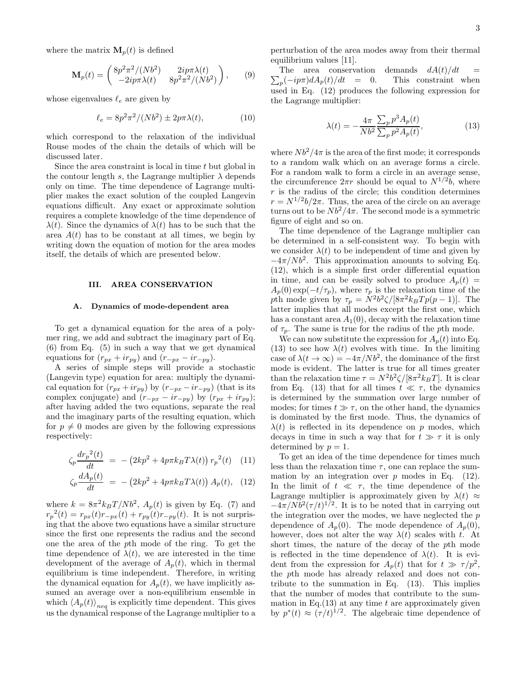where the matrix  $\mathbf{M}_p(t)$  is defined

$$
\mathbf{M}_p(t) = \begin{pmatrix} 8p^2 \pi^2 / (Nb^2) & 2ip\pi\lambda(t) \\ -2ip\pi\lambda(t) & 8p^2 \pi^2 / (Nb^2) \end{pmatrix}, \qquad (9)
$$

whose eigenvalues  $\ell_e$  are given by

$$
\ell_e = 8p^2\pi^2/(Nb^2) \pm 2p\pi\lambda(t),\tag{10}
$$

which correspond to the relaxation of the individual Rouse modes of the chain the details of which will be discussed later.

Since the area constraint is local in time t but global in the contour length s, the Lagrange multiplier  $\lambda$  depends only on time. The time dependence of Lagrange multiplier makes the exact solution of the coupled Langevin equations difficult. Any exact or approximate solution requires a complete knowledge of the time dependence of  $\lambda(t)$ . Since the dynamics of  $\lambda(t)$  has to be such that the area  $A(t)$  has to be constant at all times, we begin by writing down the equation of motion for the area modes itself, the details of which are presented below.

## III. AREA CONSERVATION

### A. Dynamics of mode-dependent area

To get a dynamical equation for the area of a polymer ring, we add and subtract the imaginary part of Eq. (6) from Eq. (5) in such a way that we get dynamical equations for  $(r_{px} + ir_{py})$  and  $(r_{-px} - ir_{-py})$ .

A series of simple steps will provide a stochastic (Langevin type) equation for area: multiply the dynamical equation for  $(r_{px} + ir_{py})$  by  $(r_{-px} - ir_{-py})$  (that is its complex conjugate) and  $(r_{-px} - ir_{-py})$  by  $(r_{px} + ir_{py})$ ; after having added the two equations, separate the real and the imaginary parts of the resulting equation, which for  $p \neq 0$  modes are given by the following expressions respectively:

$$
\zeta_p \frac{dr_p^2(t)}{dt} = -\left(2kp^2 + 4p\pi k_B T\lambda(t)\right) r_p^2(t) \quad (11)
$$

$$
\zeta_p \frac{dA_p(t)}{dt} = -\left(2kp^2 + 4p\pi k_B T\lambda(t)\right) A_p(t), \quad (12)
$$

where  $k = 8\pi^2 k_B T/Nb^2$ ,  $A_p(t)$  is given by Eq. (7) and  $r_p^2(t) = r_{px}(t)r_{-px}(t) + r_{py}(t)r_{-py}(t)$ . It is not surprising that the above two equations have a similar structure since the first one represents the radius and the second one the area of the pth mode of the ring. To get the time dependence of  $\lambda(t)$ , we are interested in the time development of the average of  $A_p(t)$ , which in thermal equilibrium is time independent. Therefore, in writing the dynamical equation for  $A_p(t)$ , we have implicitly assumed an average over a non-equilibrium ensemble in which  $\langle A_p(t) \rangle_{neq}$  is explicitly time dependent. This gives us the dynamical response of the Lagrange multiplier to a

perturbation of the area modes away from their thermal equilibrium values [11].

 $\sum_p$ The area conservation demands  $dA(t)/dt =$ This constraint when used in Eq. (12) produces the following expression for the Lagrange multiplier:

$$
\lambda(t) = -\frac{4\pi}{Nb^2} \frac{\sum_p p^3 A_p(t)}{\sum_p p^2 A_p(t)},
$$
\n(13)

where  $Nb^2/4\pi$  is the area of the first mode; it corresponds to a random walk which on an average forms a circle. For a random walk to form a circle in an average sense, the circumference  $2\pi r$  should be equal to  $N^{1/2}b$ , where  $r$  is the radius of the circle; this condition determines  $r = N^{1/2}b/2\pi$ . Thus, the area of the circle on an average turns out to be  $Nb^2/4\pi$ . The second mode is a symmetric figure of eight and so on.

The time dependence of the Lagrange multiplier can be determined in a self-consistent way. To begin with we consider  $\lambda(t)$  to be independent of time and given by  $-4\pi/Nb^2$ . This approximation amounts to solving Eq. (12), which is a simple first order differential equation in time, and can be easily solved to produce  $A_p(t)$  =  $A_p(0) \exp(-t/\tau_p)$ , where  $\tau_p$  is the relaxation time of the pth mode given by  $\tau_p = N^2 b^2 \zeta / [8\pi^2 k_B T p(p-1)].$  The latter implies that all modes except the first one, which has a constant area  $A_1(0)$ , decay with the relaxation time of  $\tau_p$ . The same is true for the radius of the pth mode.

We can now substitute the expression for  $A_p(t)$  into Eq. (13) to see how  $\lambda(t)$  evolves with time. In the limiting case of  $\lambda(t \to \infty) = -4\pi/Nb^2$ , the dominance of the first mode is evident. The latter is true for all times greater than the relaxation time  $\tau = N^2 b^2 \zeta / [8\pi^2 k_B T]$ . It is clear from Eq. (13) that for all times  $t \ll \tau$ , the dynamics is determined by the summation over large number of modes; for times  $t \gg \tau$ , on the other hand, the dynamics is dominated by the first mode. Thus, the dynamics of  $\lambda(t)$  is reflected in its dependence on p modes, which decays in time in such a way that for  $t \gg \tau$  it is only determined by  $p = 1$ .

To get an idea of the time dependence for times much less than the relaxation time  $\tau$ , one can replace the summation by an integration over  $p$  modes in Eq. (12). In the limit of  $t \ll \tau$ , the time dependence of the Lagrange multiplier is approximately given by  $\lambda(t) \approx$  $-4\pi/Nb^2(\tau/t)^{1/2}$ . It is to be noted that in carrying out the integration over the modes, we have neglected the  $p$ dependence of  $A_p(0)$ . The mode dependence of  $A_p(0)$ , however, does not alter the way  $\lambda(t)$  scales with t. At short times, the nature of the decay of the pth mode is reflected in the time dependence of  $\lambda(t)$ . It is evident from the expression for  $A_p(t)$  that for  $t \gg \tau/p^2$ , the pth mode has already relaxed and does not contribute to the summation in Eq. (13). This implies that the number of modes that contribute to the summation in Eq.(13) at any time  $t$  are approximately given by  $p^*(t) \approx (\tau/t)^{1/2}$ . The algebraic time dependence of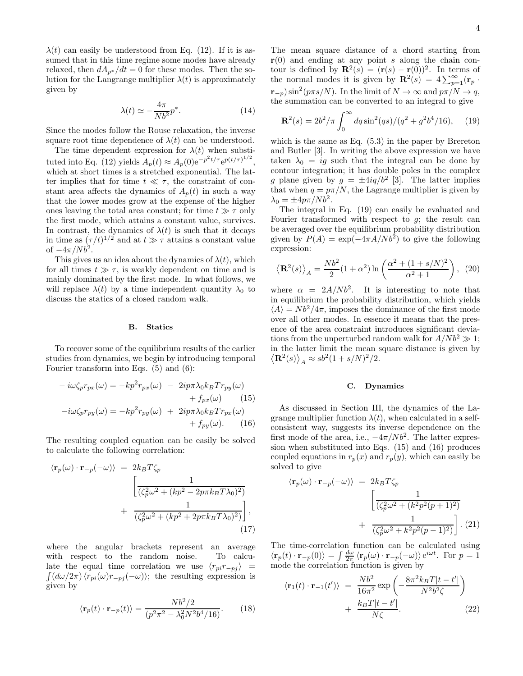$\lambda(t)$  can easily be understood from Eq. (12). If it is assumed that in this time regime some modes have already relaxed, then  $dA_{p^*}/dt = 0$  for these modes. Then the solution for the Langrange multiplier  $\lambda(t)$  is approximately given by

$$
\lambda(t) \simeq -\frac{4\pi}{Nb^2}p^*.\tag{14}
$$

Since the modes follow the Rouse relaxation, the inverse square root time dependence of  $\lambda(t)$  can be understood.

The time dependent expression for  $\lambda(t)$  when substituted into Eq. (12) yields  $A_p(t) \approx A_p(0) e^{-p^2 t/\tau} e^{p(t/\tau)^{1/2}}$ , which at short times is a stretched exponential. The latter implies that for time  $t \ll \tau$ , the constraint of constant area affects the dynamics of  $A_p(t)$  in such a way that the lower modes grow at the expense of the higher ones leaving the total area constant; for time  $t \gg \tau$  only the first mode, which attains a constant value, survives. In contrast, the dynamics of  $\lambda(t)$  is such that it decays in time as  $(\tau/t)^{1/2}$  and at  $t \gg \tau$  attains a constant value of  $-4\pi/Nb^2$ .

This gives us an idea about the dynamics of  $\lambda(t)$ , which for all times  $t \gg \tau$ , is weakly dependent on time and is mainly dominated by the first mode. In what follows, we will replace  $\lambda(t)$  by a time independent quantity  $\lambda_0$  to discuss the statics of a closed random walk.

#### B. Statics

To recover some of the equilibrium results of the earlier studies from dynamics, we begin by introducing temporal Fourier transform into Eqs. (5) and (6):

$$
-i\omega\zeta_p r_{px}(\omega) = -kp^2 r_{px}(\omega) - 2ip\pi\lambda_0 k_B T r_{py}(\omega) + f_{px}(\omega) \qquad (15) -i\omega\zeta_p r_{py}(\omega) = -kp^2 r_{py}(\omega) + 2ip\pi\lambda_0 k_B T r_{px}(\omega) + f_{py}(\omega). \qquad (16)
$$

The resulting coupled equation can be easily be solved to calculate the following correlation:

$$
\langle \mathbf{r}_p(\omega) \cdot \mathbf{r}_{-p}(-\omega) \rangle = 2k_B T \zeta_p
$$

$$
\left[ \frac{1}{(\zeta_p^2 \omega^2 + (kp^2 - 2p\pi k_B T \lambda_0)^2)} + \frac{1}{(\zeta_p^2 \omega^2 + (kp^2 + 2p\pi k_B T \lambda_0)^2)} \right],
$$
(17)

where the angular brackets represent an average with respect to the random noise. To calcu- $\int (d\omega/2\pi)\langle r_{pi}(\omega)r_{-pj}(-\omega)\rangle$ ; the resulting expression is late the equal time correlation we use  $\langle r_{pi}r_{-pj} \rangle$  = given by

$$
\langle \mathbf{r}_p(t) \cdot \mathbf{r}_{-p}(t) \rangle = \frac{N b^2 / 2}{(p^2 \pi^2 - \lambda_0^2 N^2 b^4 / 16)}.
$$
 (18)

The mean square distance of a chord starting from  $r(0)$  and ending at any point s along the chain contour is defined by  $\mathbf{R}^2(s) = (\mathbf{r}(s) - \mathbf{r}(0))^2$ . In terms of the normal modes it is given by  $\mathbf{R}^2(s) = 4 \sum_{p=1}^{\infty} (\mathbf{r}_p \cdot \mathbf{r}_p)$  $(\mathbf{r}_{-p}) \sin^2(p \pi s/N)$ . In the limit of  $N \to \infty$  and  $p \pi/N \to q$ , the summation can be converted to an integral to give

$$
\mathbf{R}^2(s) = 2b^2/\pi \int_0^\infty dq \sin^2(qs)/(q^2 + g^2 b^4/16), \quad (19)
$$

which is the same as Eq. (5.3) in the paper by Brereton and Butler [3]. In writing the above expression we have taken  $\lambda_0 = ig$  such that the integral can be done by contour integration; it has double poles in the complex g plane given by  $g = \pm 4iq/b^2$  [3]. The latter implies that when  $q = p\pi/N$ , the Lagrange multiplier is given by  $\lambda_0 = \pm 4p\pi/Nb^2$ .

The integral in Eq. (19) can easily be evaluated and Fourier transformed with respect to  $g$ ; the result can be averaged over the equilibrium probability distribution given by  $P(A) = \exp(-4\pi A/Nb^2)$  to give the following expression:

$$
\left\langle \mathbf{R}^2(s) \right\rangle_A = \frac{Nb^2}{2} (1 + \alpha^2) \ln \left( \frac{\alpha^2 + (1 + s/N)^2}{\alpha^2 + 1} \right), \tag{20}
$$

where  $\alpha = 2A/Nb^2$ . It is interesting to note that in equilibrium the probability distribution, which yields  $\langle A \rangle = Nb^2/4\pi$ , imposes the dominance of the first mode over all other modes. In essence it means that the presence of the area constraint introduces significant deviations from the unperturbed random walk for  $A/Nb^2 \gg 1$ ; in the latter limit the mean square distance is given by  $\langle \mathbf{R}^2(s) \rangle_A \approx s b^2 (1 + s/N)^2/2.$ 

#### C. Dynamics

As discussed in Section III, the dynamics of the Lagrange multiplier function  $\lambda(t)$ , when calculated in a selfconsistent way, suggests its inverse dependence on the first mode of the area, i.e.,  $-4\pi/Nb^2$ . The latter expression when substituted into Eqs. (15) and (16) produces coupled equations in  $r_p(x)$  and  $r_p(y)$ , which can easily be solved to give

$$
\langle \mathbf{r}_p(\omega) \cdot \mathbf{r}_{-p}(-\omega) \rangle = 2k_B T \zeta_p
$$

$$
\left[ \frac{1}{(\zeta_p^2 \omega^2 + (k^2 p^2 (p+1)^2))} + \frac{1}{(\zeta_p^2 \omega^2 + k^2 p^2 (p-1)^2)} \right].
$$
 (21)

The time-correlation function can be calculated using  $\langle \mathbf{r}_p(t) \cdot \mathbf{r}_{-p}(0) \rangle = \int \frac{d\omega}{2\pi} \langle \mathbf{r}_p(\omega) \cdot \mathbf{r}_{-p}(-\omega) \rangle e^{i\omega t}$ . For  $p = 1$ mode the correlation function is given by

$$
\langle \mathbf{r}_1(t) \cdot \mathbf{r}_{-1}(t') \rangle = \frac{Nb^2}{16\pi^2} \exp\left(-\frac{8\pi^2 k_B T |t - t'|}{N^2 b^2 \zeta}\right) + \frac{k_B T |t - t'|}{N \zeta}.
$$
 (22)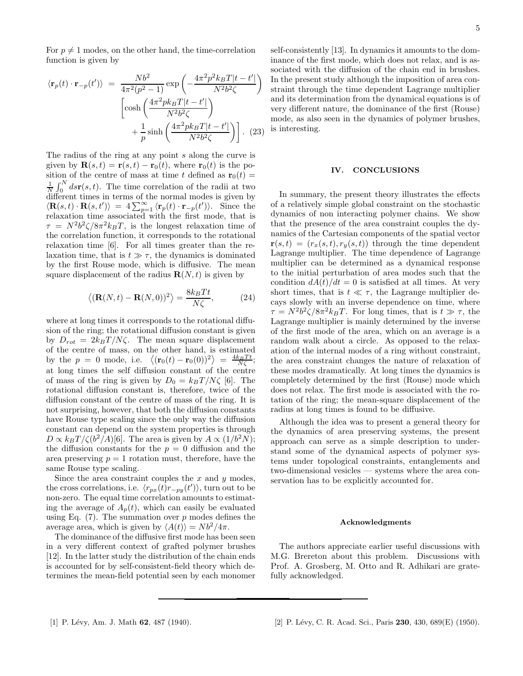For  $p \neq 1$  modes, on the other hand, the time-correlation function is given by

$$
\langle \mathbf{r}_p(t) \cdot \mathbf{r}_{-p}(t') \rangle = \frac{Nb^2}{4\pi^2(p^2-1)} \exp\left(-\frac{4\pi^2p^2k_BT|t-t'|}{N^2b^2\zeta}\right)
$$

$$
\left[\cosh\left(\frac{4\pi^2pk_BT|t-t'|}{N^2b^2\zeta}\right) + \frac{1}{p}\sinh\left(\frac{4\pi^2pk_BT|t-t'|}{N^2b^2\zeta}\right)\right]. \tag{23}
$$

The radius of the ring at any point s along the curve is given by  $\mathbf{R}(s,t) = \mathbf{r}(s,t) - \mathbf{r}_0(t)$ , where  $\mathbf{r}_0(t)$  is the position of the centre of mass at time t defined as  $\mathbf{r}_0(t) =$  $\frac{1}{N}\int_0^N ds\mathbf{r}(s,t)$ . The time correlation of the radii at two different times in terms of the normal modes is given by  $\langle \mathbf{R}(s,t) \cdot \mathbf{R}(s,t') \rangle = 4 \sum_{p=1}^{\infty} \langle \mathbf{r}_p(t) \cdot \mathbf{r}_{-p}(t') \rangle$ . Since the relaxation time associated with the first mode, that is  $\tau = N^2 b^2 \zeta / 8\pi^2 k_B T$ , is the longest relaxation time of the correlation function, it corresponds to the rotational relaxation time [6]. For all times greater than the relaxation time, that is  $t \gg \tau$ , the dynamics is dominated by the first Rouse mode, which is diffusive. The mean square displacement of the radius  $\mathbf{R}(N,t)$  is given by

$$
\langle (\mathbf{R}(N,t) - \mathbf{R}(N,0))^2 \rangle = \frac{8k_B T t}{N\zeta},\tag{24}
$$

where at long times it corresponds to the rotational diffusion of the ring; the rotational diffusion constant is given by  $D_{rot} = 2k_BT/N\zeta$ . The mean square displacement of the centre of mass, on the other hand, is estimated by the  $p = 0$  mode, i.e.  $\langle (\mathbf{r}_0(t) - \mathbf{r}_0(0))^2 \rangle = \frac{4k_BTt}{N\zeta};$ at long times the self diffusion constant of the centre of mass of the ring is given by  $D_0 = k_B T / N \zeta$  [6]. The rotational diffusion constant is, therefore, twice of the diffusion constant of the centre of mass of the ring. It is not surprising, however, that both the diffusion constants have Rouse type scaling since the only way the diffusion constant can depend on the system properties is through  $D \propto k_B T/\zeta (b^2/A)[6]$ . The area is given by  $A \propto (1/b^2 N)$ ; the diffusion constants for the  $p = 0$  diffusion and the area preserving  $p = 1$  rotation must, therefore, have the same Rouse type scaling.

Since the area constraint couples the  $x$  and  $y$  modes, the cross correlations, i.e.  $\langle r_{px}(t)r_{-py}(t')\rangle$ , turn out to be non-zero. The equal time correlation amounts to estimating the average of  $A_p(t)$ , which can easily be evaluated using Eq.  $(7)$ . The summation over p modes defines the average area, which is given by  $\langle A(t) \rangle = N b^2 / 4 \pi$ .

The dominance of the diffusive first mode has been seen in a very different context of grafted polymer brushes [12]. In the latter study the distribution of the chain ends is accounted for by self-consistent-field theory which determines the mean-field potential seen by each monomer

self-consistently [13]. In dynamics it amounts to the dominance of the first mode, which does not relax, and is associated with the diffusion of the chain end in brushes. In the present study although the imposition of area constraint through the time dependent Lagrange multiplier and its determination from the dynamical equations is of very different nature, the dominance of the first (Rouse) mode, as also seen in the dynamics of polymer brushes, is interesting.

#### IV. CONCLUSIONS

In summary, the present theory illustrates the effects of a relatively simple global constraint on the stochastic dynamics of non interacting polymer chains. We show that the presence of the area constraint couples the dynamics of the Cartesian components of the spatial vector  $\mathbf{r}(s,t) = (r_x(s,t), r_y(s,t))$  through the time dependent Lagrange multiplier. The time dependence of Lagrange multiplier can be determined as a dynamical response to the initial perturbation of area modes such that the condition  $dA(t)/dt = 0$  is satisfied at all times. At very short times, that is  $t \ll \tau$ , the Lagrange multiplier decays slowly with an inverse dependence on time, where  $\tau = N^2 b^2 \zeta / 8\pi^2 k_B T$ . For long times, that is  $t \gg \tau$ , the Lagrange multiplier is mainly determined by the inverse of the first mode of the area, which on an average is a random walk about a circle. As opposed to the relaxation of the internal modes of a ring without constraint, the area constraint changes the nature of relaxation of these modes dramatically. At long times the dynamics is completely determined by the first (Rouse) mode which does not relax. The first mode is associated with the rotation of the ring; the mean-square displacement of the radius at long times is found to be diffusive.

Although the idea was to present a general theory for the dynamics of area preserving systems, the present approach can serve as a simple description to understand some of the dynamical aspects of polymer systems under topological constraints, entanglements and two-dimensional vesicles — systems where the area conservation has to be explicitly accounted for.

#### Acknowledgments

The authors appreciate earlier useful discussions with M.G. Brereton about this problem. Discussions with Prof. A. Grosberg, M. Otto and R. Adhikari are gratefully acknowledged.

- 
- [1] P. Lévy, Am. J. Math 62, 487 (1940). [2] P. Lévy, C. R. Acad. Sci., Paris 230, 430, 689(E) (1950).